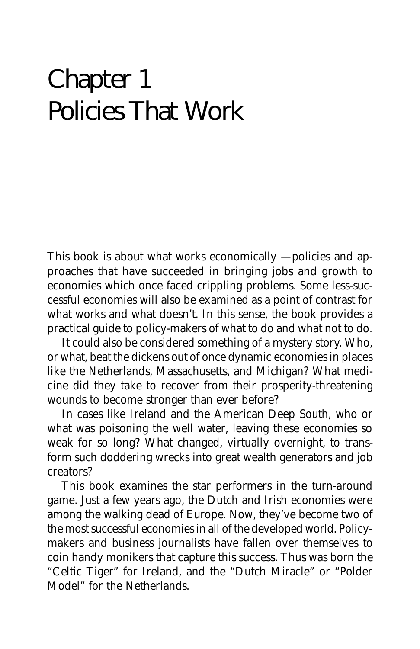# Chapter 1 Policies That Work

This book is about what works economically – policies and approaches that have succeeded in bringing jobs and growth to economies which once faced crippling problems. Some less-successful economies will also be examined as a point of contrast for what works and what doesn't. In this sense, the book provides a practical guide to policy-makers of what to do and what not to do.

It could also be considered something of a mystery story. Who, or what, beat the dickens out of once dynamic economies in places like the Netherlands, Massachusetts, and Michigan? What medicine did they take to recover from their prosperity-threatening wounds to become stronger than ever before?

In cases like Ireland and the American Deep South, who or what was poisoning the well water, leaving these economies so weak for so long? What changed, virtually overnight, to transform such doddering wrecks into great wealth generators and job creators?

This book examines the star performers in the turn-around game. Just a few years ago, the Dutch and Irish economies were among the walking dead of Europe. Now, they've become two of the most successful economies in all of the developed world. Policymakers and business journalists have fallen over themselves to coin handy monikers that capture this success. Thus was born the "Celtic Tiger" for Ireland, and the "Dutch Miracle" or "Polder Model" for the Netherlands.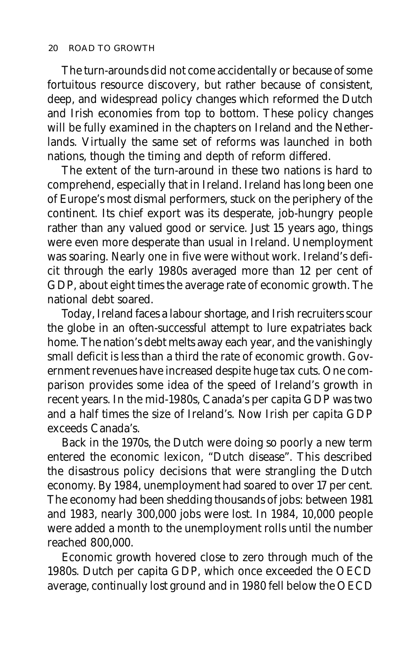The turn-arounds did not come accidentally or because of some fortuitous resource discovery, but rather because of consistent, deep, and widespread policy changes which reformed the Dutch and Irish economies from top to bottom. These policy changes will be fully examined in the chapters on Ireland and the Netherlands. Virtually the same set of reforms was launched in both nations, though the timing and depth of reform differed.

The extent of the turn-around in these two nations is hard to comprehend, especially that in Ireland. Ireland has long been one of Europe's most dismal performers, stuck on the periphery of the continent. Its chief export was its desperate, job-hungry people rather than any valued good or service. Just 15 years ago, things were even more desperate than usual in Ireland. Unemployment was soaring. Nearly one in five were without work. Ireland's deficit through the early 1980s averaged more than 12 per cent of GDP, about eight times the average rate of economic growth. The national debt soared.

Today, Ireland faces a labour shortage, and Irish recruiters scour the globe in an often-successful attempt to lure expatriates back home. The nation's debt melts away each year, and the vanishingly small deficit is less than a third the rate of economic growth. Government revenues have increased despite huge tax cuts. One comparison provides some idea of the speed of Ireland's growth in recent years. In the mid-1980s, Canada's per capita GDP was two and a half times the size of Ireland's. Now Irish per capita GDP exceeds Canada's.

Back in the 1970s, the Dutch were doing so poorly a new term entered the economic lexicon, "Dutch disease". This described the disastrous policy decisions that were strangling the Dutch economy. By 1984, unemployment had soared to over 17 per cent. The economy had been shedding thousands of jobs: between 1981 and 1983, nearly 300,000 jobs were lost. In 1984, 10,000 people were added a month to the unemployment rolls until the number reached 800,000.

Economic growth hovered close to zero through much of the 1980s. Dutch per capita GDP, which once exceeded the OECD average, continually lost ground and in 1980 fell below the OECD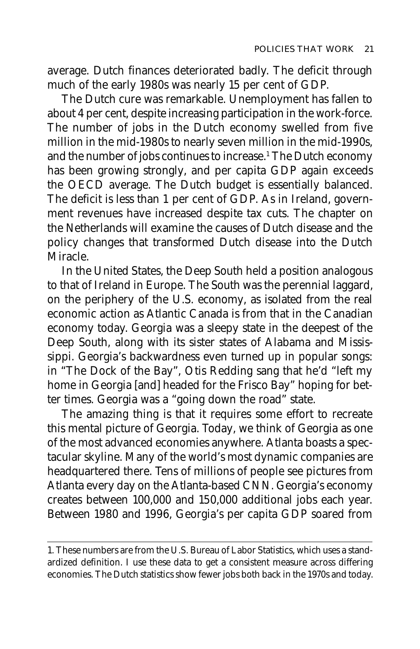average. Dutch finances deteriorated badly. The deficit through much of the early 1980s was nearly 15 per cent of GDP.

The Dutch cure was remarkable. Unemployment has fallen to about 4 per cent, despite increasing participation in the work-force. The number of jobs in the Dutch economy swelled from five million in the mid-1980s to nearly seven million in the mid-1990s, and the number of jobs continues to increase.<sup>1</sup> The Dutch economy has been growing strongly, and per capita GDP again exceeds the OECD average. The Dutch budget is essentially balanced. The deficit is less than 1 per cent of GDP. As in Ireland, government revenues have increased despite tax cuts. The chapter on the Netherlands will examine the causes of Dutch disease and the policy changes that transformed Dutch disease into the Dutch Miracle.

In the United States, the Deep South held a position analogous to that of Ireland in Europe. The South was the perennial laggard, on the periphery of the U.S. economy, as isolated from the real economic action as Atlantic Canada is from that in the Canadian economy today. Georgia was a sleepy state in the deepest of the Deep South, along with its sister states of Alabama and Mississippi. Georgia's backwardness even turned up in popular songs: in "The Dock of the Bay", Otis Redding sang that he'd "left my home in Georgia [and] headed for the Frisco Bay" hoping for better times. Georgia was a "going down the road" state.

The amazing thing is that it requires some effort to recreate this mental picture of Georgia. Today, we think of Georgia as one of the most advanced economies anywhere. Atlanta boasts a spectacular skyline. Many of the world's most dynamic companies are headquartered there. Tens of millions of people see pictures from Atlanta every day on the Atlanta-based CNN. Georgia's economy creates between 100,000 and 150,000 additional jobs each year. Between 1980 and 1996, Georgia's per capita GDP soared from

<sup>1.</sup> These numbers are from the U.S. Bureau of Labor Statistics, which uses a standardized definition. I use these data to get a consistent measure across differing economies. The Dutch statistics show fewer jobs both back in the 1970s and today.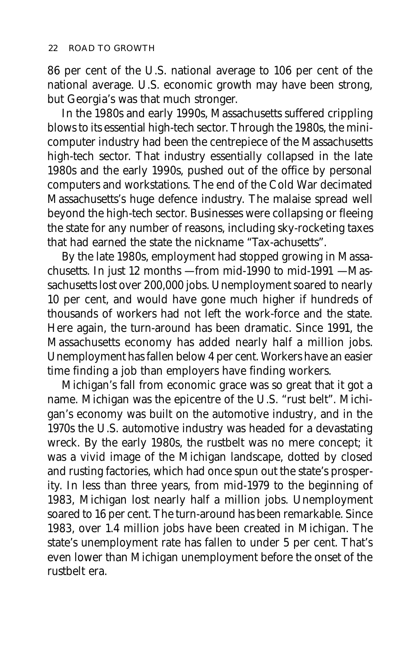86 per cent of the U.S. national average to 106 per cent of the national average. U.S. economic growth may have been strong, but Georgia's was that much stronger.

In the 1980s and early 1990s, Massachusetts suffered crippling blows to its essential high-tech sector. Through the 1980s, the minicomputer industry had been the centrepiece of the Massachusetts high-tech sector. That industry essentially collapsed in the late 1980s and the early 1990s, pushed out of the office by personal computers and workstations. The end of the Cold War decimated Massachusetts's huge defence industry. The malaise spread well beyond the high-tech sector. Businesses were collapsing or fleeing the state for any number of reasons, including sky-rocketing taxes that had earned the state the nickname "Tax-achusetts".

By the late 1980s, employment had stopped growing in Massachusetts. In just 12 months — from mid-1990 to mid-1991 — Massachusetts lost over 200,000 jobs. Unemployment soared to nearly 10 per cent, and would have gone much higher if hundreds of thousands of workers had not left the work-force and the state. Here again, the turn-around has been dramatic. Since 1991, the Massachusetts economy has added nearly half a million jobs. Unemployment has fallen below 4 per cent. Workers have an easier time finding a job than employers have finding workers.

Michigan's fall from economic grace was so great that it got a name. Michigan was the epicentre of the U.S. "rust belt". Michigan's economy was built on the automotive industry, and in the 1970s the U.S. automotive industry was headed for a devastating wreck. By the early 1980s, the rustbelt was no mere concept; it was a vivid image of the Michigan landscape, dotted by closed and rusting factories, which had once spun out the state's prosperity. In less than three years, from mid-1979 to the beginning of 1983, Michigan lost nearly half a million jobs. Unemployment soared to 16 per cent. The turn-around has been remarkable. Since 1983, over 1.4 million jobs have been created in Michigan. The state's unemployment rate has fallen to under 5 per cent. That's even lower than Michigan unemployment before the onset of the rustbelt era.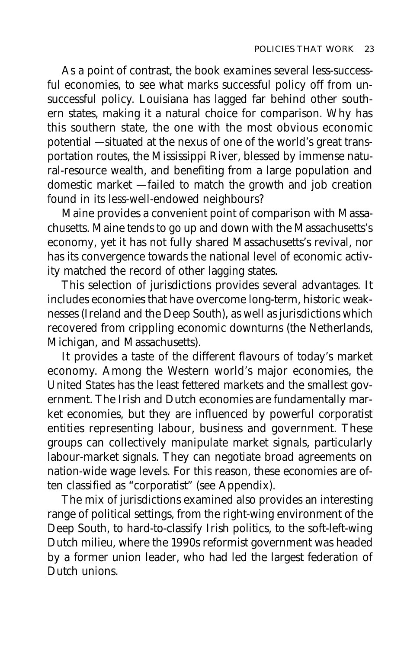As a point of contrast, the book examines several less-successful economies, to see what marks successful policy off from unsuccessful policy. Louisiana has lagged far behind other southern states, making it a natural choice for comparison. Why has this southern state, the one with the most obvious economic potential — situated at the nexus of one of the world's great transportation routes, the Mississippi River, blessed by immense natural-resource wealth, and benefiting from a large population and domestic market — failed to match the growth and job creation found in its less-well-endowed neighbours?

Maine provides a convenient point of comparison with Massachusetts. Maine tends to go up and down with the Massachusetts's economy, yet it has not fully shared Massachusetts's revival, nor has its convergence towards the national level of economic activity matched the record of other lagging states.

This selection of jurisdictions provides several advantages. It includes economies that have overcome long-term, historic weaknesses (Ireland and the Deep South), as well as jurisdictions which recovered from crippling economic downturns (the Netherlands, Michigan, and Massachusetts).

It provides a taste of the different flavours of today's market economy. Among the Western world's major economies, the United States has the least fettered markets and the smallest government. The Irish and Dutch economies are fundamentally market economies, but they are influenced by powerful corporatist entities representing labour, business and government. These groups can collectively manipulate market signals, particularly labour-market signals. They can negotiate broad agreements on nation-wide wage levels. For this reason, these economies are often classified as "corporatist" (see Appendix).

The mix of jurisdictions examined also provides an interesting range of political settings, from the right-wing environment of the Deep South, to hard-to-classify Irish politics, to the soft-left-wing Dutch milieu, where the 1990s reformist government was headed by a former union leader, who had led the largest federation of Dutch unions.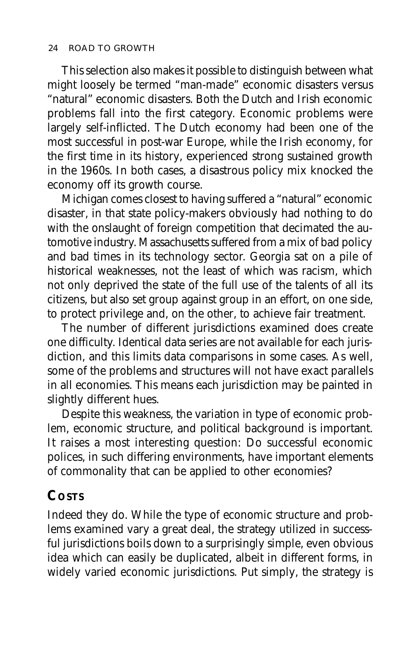This selection also makes it possible to distinguish between what might loosely be termed "man-made" economic disasters versus "natural" economic disasters. Both the Dutch and Irish economic problems fall into the first category. Economic problems were largely self-inflicted. The Dutch economy had been one of the most successful in post-war Europe, while the Irish economy, for the first time in its history, experienced strong sustained growth in the 1960s. In both cases, a disastrous policy mix knocked the economy off its growth course.

Michigan comes closest to having suffered a "natural" economic disaster, in that state policy-makers obviously had nothing to do with the onslaught of foreign competition that decimated the automotive industry. Massachusetts suffered from a mix of bad policy and bad times in its technology sector. Georgia sat on a pile of historical weaknesses, not the least of which was racism, which not only deprived the state of the full use of the talents of all its citizens, but also set group against group in an effort, on one side, to protect privilege and, on the other, to achieve fair treatment.

The number of different jurisdictions examined does create one difficulty. Identical data series are not available for each jurisdiction, and this limits data comparisons in some cases. As well, some of the problems and structures will not have exact parallels in all economies. This means each jurisdiction may be painted in slightly different hues.

Despite this weakness, the variation in type of economic problem, economic structure, and political background is important. It raises a most interesting question: Do successful economic polices, in such differing environments, have important elements of commonality that can be applied to other economies?

## **COSTS**

Indeed they do. While the type of economic structure and problems examined vary a great deal, the strategy utilized in successful jurisdictions boils down to a surprisingly simple, even obvious idea which can easily be duplicated, albeit in different forms, in widely varied economic jurisdictions. Put simply, the strategy is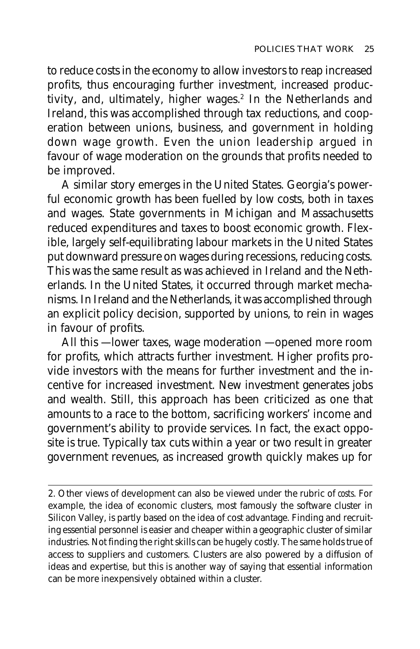to reduce costs in the economy to allow investors to reap increased profits, thus encouraging further investment, increased productivity, and, ultimately, higher wages.<sup>2</sup> In the Netherlands and Ireland, this was accomplished through tax reductions, and cooperation between unions, business, and government in holding down wage growth. Even the union leadership argued in favour of wage moderation on the grounds that profits needed to be improved.

A similar story emerges in the United States. Georgia's powerful economic growth has been fuelled by low costs, both in taxes and wages. State governments in Michigan and Massachusetts reduced expenditures and taxes to boost economic growth. Flexible, largely self-equilibrating labour markets in the United States put downward pressure on wages during recessions, reducing costs. This was the same result as was achieved in Ireland and the Netherlands. In the United States, it occurred through market mechanisms. In Ireland and the Netherlands, it was accomplished through an explicit policy decision, supported by unions, to rein in wages in favour of profits.

All this — lower taxes, wage moderation — opened more room for profits, which attracts further investment. Higher profits provide investors with the means for further investment and the incentive for increased investment. New investment generates jobs and wealth. Still, this approach has been criticized as one that amounts to a race to the bottom, sacrificing workers' income and government's ability to provide services. In fact, the exact opposite is true. Typically tax cuts within a year or two result in greater government revenues, as increased growth quickly makes up for

<sup>2.</sup> Other views of development can also be viewed under the rubric of *costs*. For example, the idea of economic clusters, most famously the software cluster in Silicon Valley, is partly based on the idea of cost advantage. Finding and recruiting essential personnel is easier and cheaper within a geographic cluster of similar industries. Not finding the right skills can be hugely costly. The same holds true of access to suppliers and customers. Clusters are also powered by a diffusion of ideas and expertise, but this is another way of saying that essential information can be more inexpensively obtained within a cluster.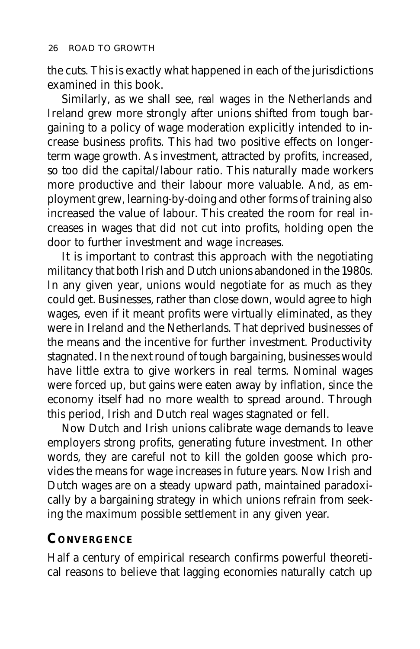the cuts. This is exactly what happened in each of the jurisdictions examined in this book.

Similarly, as we shall see, *real* wages in the Netherlands and Ireland grew more strongly after unions shifted from tough bargaining to a policy of wage moderation explicitly intended to increase business profits. This had two positive effects on longerterm wage growth. As investment, attracted by profits, increased, so too did the capital/labour ratio. This naturally made workers more productive and their labour more valuable. And, as employment grew, learning-by-doing and other forms of training also increased the value of labour. This created the room for real increases in wages that did not cut into profits, holding open the door to further investment and wage increases.

It is important to contrast this approach with the negotiating militancy that both Irish and Dutch unions abandoned in the 1980s. In any given year, unions would negotiate for as much as they could get. Businesses, rather than close down, would agree to high wages, even if it meant profits were virtually eliminated, as they were in Ireland and the Netherlands. That deprived businesses of the means and the incentive for further investment. Productivity stagnated. In the next round of tough bargaining, businesses would have little extra to give workers in real terms. Nominal wages were forced up, but gains were eaten away by inflation, since the economy itself had no more wealth to spread around. Through this period, Irish and Dutch real wages stagnated or fell.

Now Dutch and Irish unions calibrate wage demands to leave employers strong profits, generating future investment. In other words, they are careful not to kill the golden goose which provides the means for wage increases in future years. Now Irish and Dutch wages are on a steady upward path, maintained paradoxically by a bargaining strategy in which unions refrain from seeking the maximum possible settlement in any given year.

## **CONVERGENCE**

Half a century of empirical research confirms powerful theoretical reasons to believe that lagging economies naturally catch up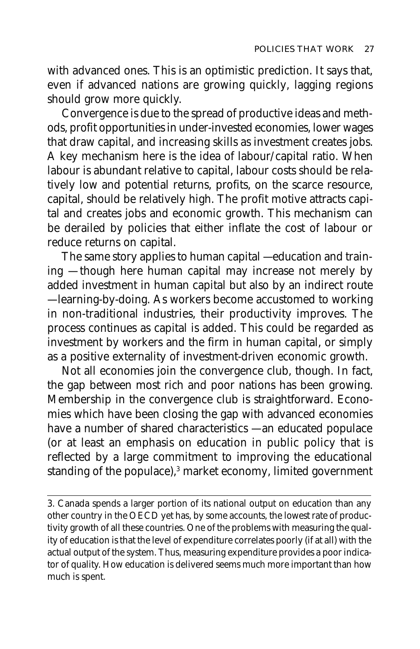with advanced ones. This is an optimistic prediction. It says that, even if advanced nations are growing quickly, lagging regions should grow more quickly.

Convergence is due to the spread of productive ideas and methods, profit opportunities in under-invested economies, lower wages that draw capital, and increasing skills as investment creates jobs. A key mechanism here is the idea of labour/capital ratio. When labour is abundant relative to capital, labour costs should be relatively low and potential returns, profits, on the scarce resource, capital, should be relatively high. The profit motive attracts capital and creates jobs and economic growth. This mechanism can be derailed by policies that either inflate the cost of labour or reduce returns on capital.

The same story applies to human capital — education and training — though here human capital may increase not merely by added investment in human capital but also by an indirect route — learning-by-doing. As workers become accustomed to working in non-traditional industries, their productivity improves. The process continues as capital is added. This could be regarded as investment by workers and the firm in human capital, or simply as a positive externality of investment-driven economic growth.

Not all economies join the convergence club, though. In fact, the gap between most rich and poor nations has been growing. Membership in the convergence club is straightforward. Economies which have been closing the gap with advanced economies have a number of shared characteristics — an educated populace (or at least an emphasis on education in public policy that is reflected by a large commitment to improving the educational standing of the populace),3 market economy, limited government

<sup>3.</sup> Canada spends a larger portion of its national output on education than any other country in the OECD yet has, by some accounts, the lowest rate of productivity growth of all these countries. One of the problems with measuring the quality of education is that the level of expenditure correlates poorly (if at all) with the actual output of the system. Thus, measuring expenditure provides a poor indicator of quality. How education is delivered seems much more important than how much is spent.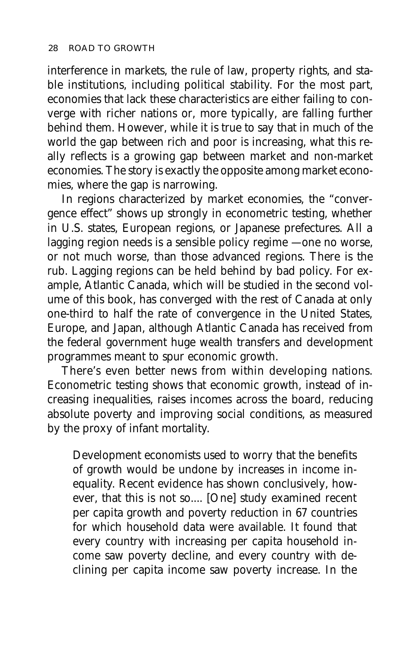interference in markets, the rule of law, property rights, and stable institutions, including political stability. For the most part, economies that lack these characteristics are either failing to converge with richer nations or, more typically, are falling further behind them. However, while it is true to say that in much of the world the gap between rich and poor is increasing, what this really reflects is a growing gap between market and non-market economies. The story is exactly the opposite among market economies, where the gap is narrowing.

In regions characterized by market economies, the "convergence effect" shows up strongly in econometric testing, whether in U.S. states, European regions, or Japanese prefectures. All a lagging region needs is a sensible policy regime — one no worse, or not much worse, than those advanced regions. There is the rub. Lagging regions can be held behind by bad policy. For example, Atlantic Canada, which will be studied in the second volume of this book, has converged with the rest of Canada at only one-third to half the rate of convergence in the United States, Europe, and Japan, although Atlantic Canada has received from the federal government huge wealth transfers and development programmes meant to spur economic growth.

There's even better news from within developing nations. Econometric testing shows that economic growth, instead of increasing inequalities, raises incomes across the board, reducing absolute poverty and improving social conditions, as measured by the proxy of infant mortality.

Development economists used to worry that the benefits of growth would be undone by increases in income inequality. Recent evidence has shown conclusively, however, that this is not so.... [One] study examined recent per capita growth and poverty reduction in 67 countries for which household data were available. It found that every country with increasing per capita household income saw poverty decline, and every country with declining per capita income saw poverty increase. In the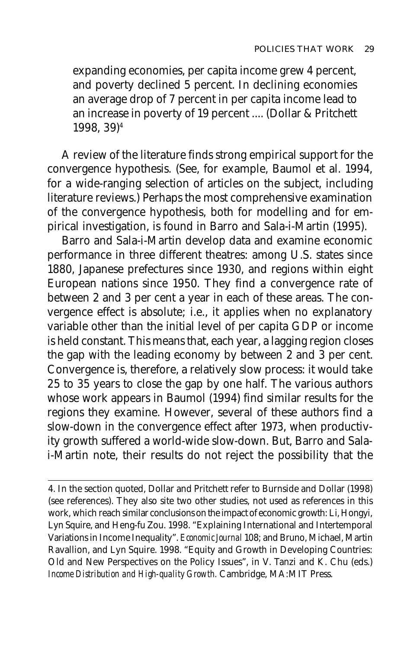expanding economies, per capita income grew 4 percent, and poverty declined 5 percent. In declining economies an average drop of 7 percent in per capita income lead to an increase in poverty of 19 percent .... (Dollar & Pritchett 1998, 39)4

A review of the literature finds strong empirical support for the convergence hypothesis. (See, for example, Baumol et al. 1994, for a wide-ranging selection of articles on the subject, including literature reviews.) Perhaps the most comprehensive examination of the convergence hypothesis, both for modelling and for empirical investigation, is found in Barro and Sala-i-Martin (1995).

Barro and Sala-i-Martin develop data and examine economic performance in three different theatres: among U.S. states since 1880, Japanese prefectures since 1930, and regions within eight European nations since 1950. They find a convergence rate of between 2 and 3 per cent a year in each of these areas. The convergence effect is absolute; i.e., it applies when no explanatory variable other than the initial level of per capita GDP or income is held constant. This means that, each year, a lagging region closes the gap with the leading economy by between 2 and 3 per cent. Convergence is, therefore, a relatively slow process: it would take 25 to 35 years to close the gap by one half. The various authors whose work appears in Baumol (1994) find similar results for the regions they examine. However, several of these authors find a slow-down in the convergence effect after 1973, when productivity growth suffered a world-wide slow-down. But, Barro and Salai-Martin note, their results do not reject the possibility that the

<sup>4.</sup> In the section quoted, Dollar and Pritchett refer to Burnside and Dollar (1998) (see references). They also site two other studies, not used as references in this work, which reach similar conclusions on the impact of economic growth: Li, Hongyi, Lyn Squire, and Heng-fu Zou. 1998. "Explaining International and Intertemporal Variations in Income Inequality". *Economic Journal* 108; and Bruno, Michael, Martin Ravallion, and Lyn Squire. 1998. "Equity and Growth in Developing Countries: Old and New Perspectives on the Policy Issues", in V. Tanzi and K. Chu (eds.) *Income Distribution and High-quality Growth.* Cambridge, MA:MIT Press.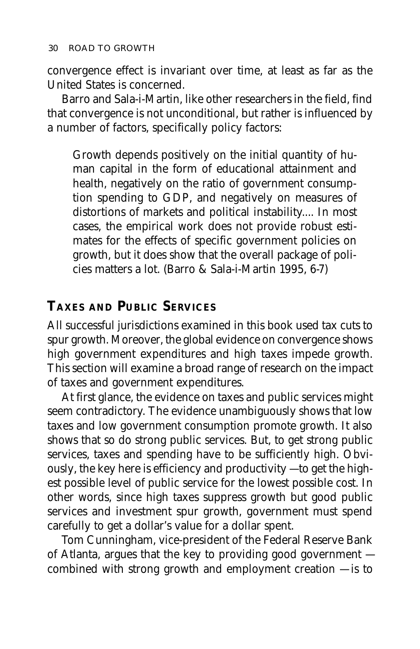convergence effect is invariant over time, at least as far as the United States is concerned.

Barro and Sala-i-Martin, like other researchers in the field, find that convergence is not unconditional, but rather is influenced by a number of factors, specifically policy factors:

Growth depends positively on the initial quantity of human capital in the form of educational attainment and health, negatively on the ratio of government consumption spending to GDP, and negatively on measures of distortions of markets and political instability.... In most cases, the empirical work does not provide robust estimates for the effects of specific government policies on growth, but it does show that the overall package of policies matters a lot. (Barro & Sala-i-Martin 1995, 6-7)

#### **TAXES AND PUBLIC SERVICES**

All successful jurisdictions examined in this book used tax cuts to spur growth. Moreover, the global evidence on convergence shows high government expenditures and high taxes impede growth. This section will examine a broad range of research on the impact of taxes and government expenditures.

At first glance, the evidence on taxes and public services might seem contradictory. The evidence unambiguously shows that low taxes and low government consumption promote growth. It also shows that so do strong public services. But, to get strong public services, taxes and spending have to be sufficiently high. Obviously, the key here is efficiency and productivity — to get the highest possible level of public service for the lowest possible cost. In other words, since high taxes suppress growth but good public services and investment spur growth, government must spend carefully to get a dollar's value for a dollar spent.

Tom Cunningham, vice-president of the Federal Reserve Bank of Atlanta, argues that the key to providing good government combined with strong growth and employment creation — is to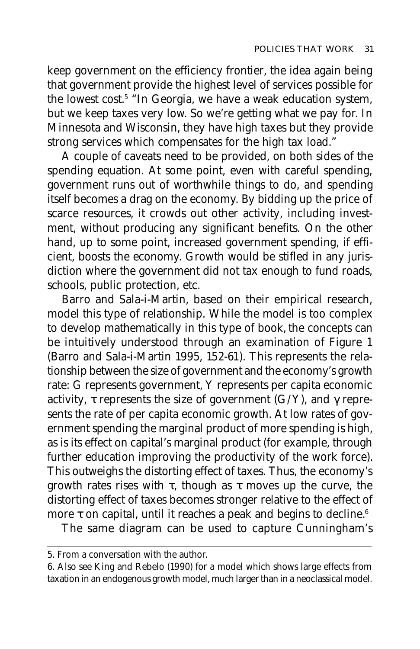keep government on the efficiency frontier, the idea again being that government provide the highest level of services possible for the lowest cost.5 "In Georgia, we have a weak education system, but we keep taxes very low. So we're getting what we pay for. In Minnesota and Wisconsin, they have high taxes but they provide strong services which compensates for the high tax load."

A couple of caveats need to be provided, on both sides of the spending equation. At some point, even with careful spending, government runs out of worthwhile things to do, and spending itself becomes a drag on the economy. By bidding up the price of scarce resources, it crowds out other activity, including investment, without producing any significant benefits. On the other hand, up to some point, increased government spending, if efficient, boosts the economy. Growth would be stifled in any jurisdiction where the government did not tax enough to fund roads, schools, public protection, etc.

Barro and Sala-i-Martin, based on their empirical research, model this type of relationship. While the model is too complex to develop mathematically in this type of book, the concepts can be intuitively understood through an examination of Figure 1 (Barro and Sala-i-Martin 1995, 152-61). This represents the relationship between the size of government and the economy's growth rate: G represents government, Y represents per capita economic activity,  $\tau$  represents the size of government (G/Y), and  $\gamma$  represents the rate of per capita economic growth. At low rates of government spending the marginal product of more spending is high, as is its effect on capital's marginal product (for example, through further education improving the productivity of the work force). This outweighs the distorting effect of taxes. Thus, the economy's growth rates rises with  $\tau$ , though as  $\tau$  moves up the curve, the distorting effect of taxes becomes stronger relative to the effect of more τ on capital, until it reaches a peak and begins to decline.<sup>6</sup>

The same diagram can be used to capture Cunningham's

<sup>5.</sup> From a conversation with the author.

<sup>6.</sup> Also see King and Rebelo (1990) for a model which shows large effects from taxation in an endogenous growth model, much larger than in a neoclassical model.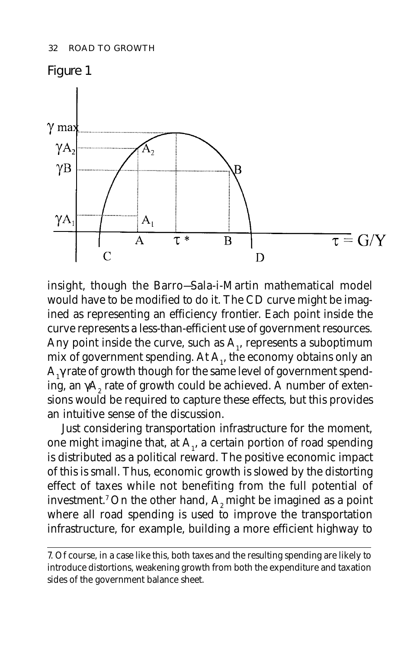

insight, though the Barro—Sala-i-Martin mathematical model would have to be modified to do it. The CD curve might be imagined as representing an efficiency frontier. Each point inside the curve represents a less-than-efficient use of government resources. Any point inside the curve, such as  $\mathbf{A}_{\mathbf{l}}$ , represents a suboptimum mix of government spending. At  $\mathbf{A}_1$ , the economy obtains only an A<sub>1</sub> $\gamma$  rate of growth though for the same level of government spending, an  $\gamma\mathsf{A}_2^{}$  rate of growth could be achieved. A number of extensions would be required to capture these effects, but this provides an intuitive sense of the discussion.

Just considering transportation infrastructure for the moment, one might imagine that, at  $\mathbf{A}_{\mathbf{l}}$ , a certain portion of road spending is distributed as a political reward. The positive economic impact of this is small. Thus, economic growth is slowed by the distorting effect of taxes while not benefiting from the full potential of investment.<sup>7</sup> On the other hand,  $A<sub>2</sub>$  might be imagined as a point where all road spending is used to improve the transportation infrastructure, for example, building a more efficient highway to

<sup>7.</sup> Of course, in a case like this, both taxes and the resulting spending are likely to introduce distortions, weakening growth from both the expenditure and taxation sides of the government balance sheet.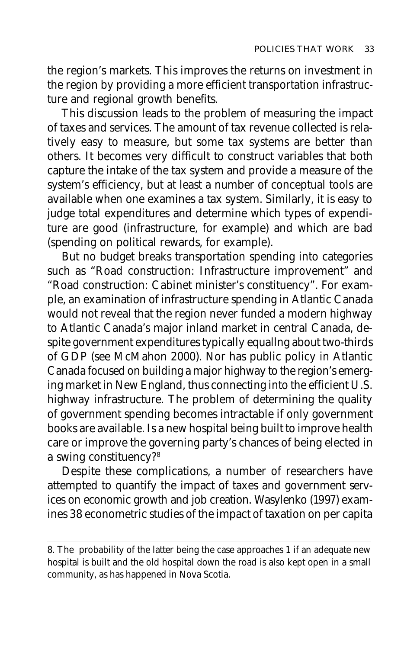the region's markets. This improves the returns on investment in the region by providing a more efficient transportation infrastructure and regional growth benefits.

This discussion leads to the problem of measuring the impact of taxes and services. The amount of tax revenue collected is relatively easy to measure, but some tax systems are better than others. It becomes very difficult to construct variables that both capture the intake of the tax system and provide a measure of the system's efficiency, but at least a number of conceptual tools are available when one examines a tax system. Similarly, it is easy to judge total expenditures and determine which types of expenditure are good (infrastructure, for example) and which are bad (spending on political rewards, for example).

But no budget breaks transportation spending into categories such as "Road construction: Infrastructure improvement" and "Road construction: Cabinet minister's constituency". For example, an examination of infrastructure spending in Atlantic Canada would not reveal that the region never funded a modern highway to Atlantic Canada's major inland market in central Canada, despite government expenditures typically equallng about two-thirds of GDP (see McMahon 2000). Nor has public policy in Atlantic Canada focused on building a major highway to the region's emerging market in New England, thus connecting into the efficient U.S. highway infrastructure. The problem of determining the quality of government spending becomes intractable if only government books are available. Is a new hospital being built to improve health care or improve the governing party's chances of being elected in a swing constituency?8

Despite these complications, a number of researchers have attempted to quantify the impact of taxes and government services on economic growth and job creation. Wasylenko (1997) examines 38 econometric studies of the impact of taxation on per capita

<sup>8.</sup> The probability of the latter being the case approaches 1 if an adequate new hospital is built and the old hospital down the road is also kept open in a small community, as has happened in Nova Scotia.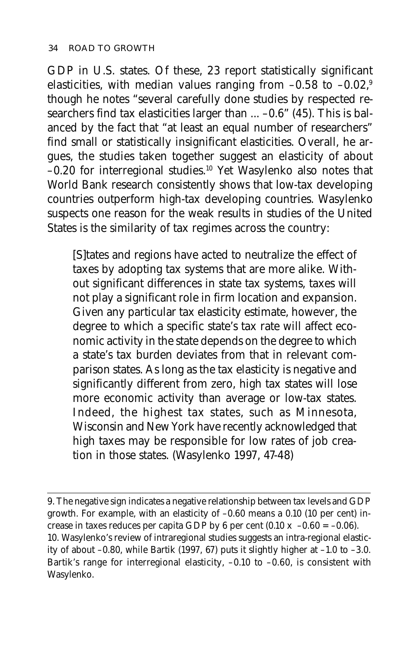GDP in U.S. states. Of these, 23 report statistically significant elasticities, with median values ranging from  $-0.58$  to  $-0.02$ ,<sup>9</sup> though he notes "several carefully done studies by respected researchers find tax elasticities larger than ... -0.6" (45). This is balanced by the fact that "at least an equal number of researchers" find small or statistically insignificant elasticities. Overall, he argues, the studies taken together suggest an elasticity of about –0.20 for interregional studies.10 Yet Wasylenko also notes that World Bank research consistently shows that low-tax developing countries outperform high-tax developing countries. Wasylenko suspects one reason for the weak results in studies of the United States is the similarity of tax regimes across the country:

[S]tates and regions have acted to neutralize the effect of taxes by adopting tax systems that are more alike. Without significant differences in state tax systems, taxes will not play a significant role in firm location and expansion. Given any particular tax elasticity estimate, however, the degree to which a specific state's tax rate will affect economic activity in the state depends on the degree to which a state's tax burden deviates from that in relevant comparison states. As long as the tax elasticity is negative and significantly different from zero, high tax states will lose more economic activity than average or low-tax states. Indeed, the highest tax states, such as Minnesota, Wisconsin and New York have recently acknowledged that high taxes may be responsible for low rates of job creation in those states. (Wasylenko 1997, 47-48)

<sup>9.</sup> The negative sign indicates a negative relationship between tax levels and GDP growth. For example, with an elasticity of –0.60 means a 0.10 (10 per cent) increase in taxes reduces per capita GDP by 6 per cent (0.10 x  $-0.60 = -0.06$ ). 10. Wasylenko's review of intraregional studies suggests an intra-regional elasticity of about –0.80, while Bartik (1997, 67) puts it slightly higher at –1.0 to –3.0. Bartik's range for interregional elasticity, -0.10 to -0.60, is consistent with Wasylenko.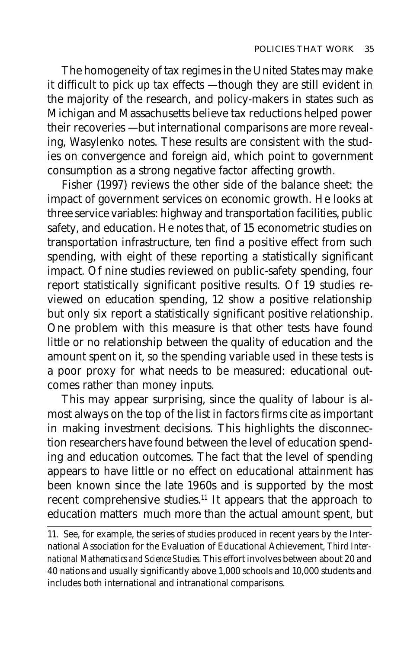The homogeneity of tax regimes in the United States may make it difficult to pick up tax effects — though they are still evident in the majority of the research, and policy-makers in states such as Michigan and Massachusetts believe tax reductions helped power their recoveries — but international comparisons are more revealing, Wasylenko notes. These results are consistent with the studies on convergence and foreign aid, which point to government consumption as a strong negative factor affecting growth.

Fisher (1997) reviews the other side of the balance sheet: the impact of government services on economic growth. He looks at three service variables: highway and transportation facilities, public safety, and education. He notes that, of 15 econometric studies on transportation infrastructure, ten find a positive effect from such spending, with eight of these reporting a statistically significant impact. Of nine studies reviewed on public-safety spending, four report statistically significant positive results. Of 19 studies reviewed on education spending, 12 show a positive relationship but only six report a statistically significant positive relationship. One problem with this measure is that other tests have found little or no relationship between the quality of education and the amount spent on it, so the spending variable used in these tests is a poor proxy for what needs to be measured: educational outcomes rather than money inputs.

This may appear surprising, since the quality of labour is almost always on the top of the list in factors firms cite as important in making investment decisions. This highlights the disconnection researchers have found between the level of education spending and education outcomes. The fact that the level of spending appears to have little or no effect on educational attainment has been known since the late 1960s and is supported by the most recent comprehensive studies.11 It appears that the approach to education matters much more than the actual amount spent, but

<sup>11.</sup> See, for example, the series of studies produced in recent years by the International Association for the Evaluation of Educational Achievement, *Third International Mathematics and Science Studies*. This effort involves between about 20 and 40 nations and usually significantly above 1,000 schools and 10,000 students and includes both international and intranational comparisons.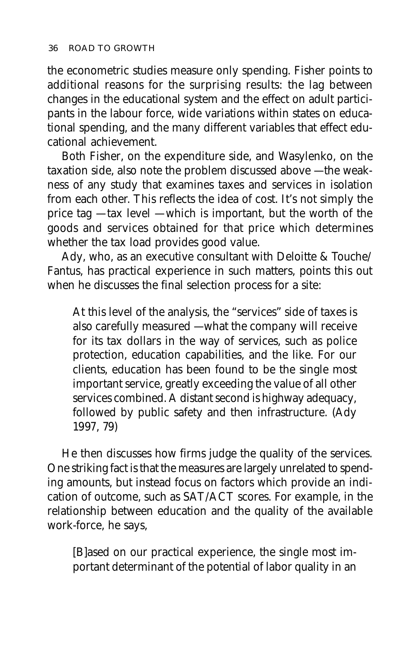the econometric studies measure only spending. Fisher points to additional reasons for the surprising results: the lag between changes in the educational system and the effect on adult participants in the labour force, wide variations within states on educational spending, and the many different variables that effect educational achievement.

Both Fisher, on the expenditure side, and Wasylenko, on the taxation side, also note the problem discussed above — the weakness of any study that examines taxes and services in isolation from each other. This reflects the idea of cost. It's not simply the price tag — tax level — which is important, but the worth of the goods and services obtained for that price which determines whether the tax load provides good value.

Ady, who, as an executive consultant with Deloitte & Touche/ Fantus, has practical experience in such matters, points this out when he discusses the final selection process for a site:

At this level of the analysis, the "services" side of taxes is also carefully measured — what the company will receive for its tax dollars in the way of services, such as police protection, education capabilities, and the like. For our clients, education has been found to be the single most important service, greatly exceeding the value of all other services combined. A distant second is highway adequacy, followed by public safety and then infrastructure. (Ady 1997, 79)

He then discusses how firms judge the quality of the services. One striking fact is that the measures are largely unrelated to spending amounts, but instead focus on factors which provide an indication of outcome, such as SAT/ACT scores. For example, in the relationship between education and the quality of the available work-force, he says,

[B]ased on our practical experience, the single most important determinant of the potential of labor quality in an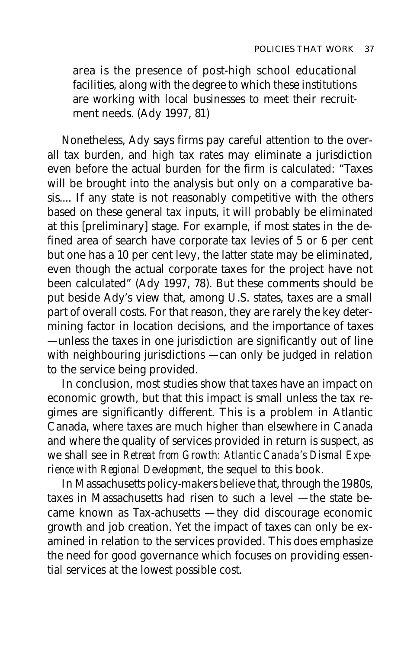area is the presence of post-high school educational facilities, along with the degree to which these institutions are working with local businesses to meet their recruitment needs. (Ady 1997, 81)

Nonetheless, Ady says firms pay careful attention to the overall tax burden, and high tax rates may eliminate a jurisdiction even before the actual burden for the firm is calculated: "Taxes will be brought into the analysis but only on a comparative basis.... If any state is not reasonably competitive with the others based on these general tax inputs, it will probably be eliminated at this [preliminary] stage. For example, if most states in the defined area of search have corporate tax levies of 5 or 6 per cent but one has a 10 per cent levy, the latter state may be eliminated, even though the actual corporate taxes for the project have not been calculated" (Ady 1997, 78). But these comments should be put beside Ady's view that, among U.S. states, taxes are a small part of overall costs. For that reason, they are rarely the key determining factor in location decisions, and the importance of taxes — unless the taxes in one jurisdiction are significantly out of line with neighbouring jurisdictions — can only be judged in relation to the service being provided.

In conclusion, most studies show that taxes have an impact on economic growth, but that this impact is small unless the tax regimes are significantly different. This is a problem in Atlantic Canada, where taxes are much higher than elsewhere in Canada and where the quality of services provided in return is suspect, as we shall see in *Retreat from Growth: Atlantic Canada's Dismal Experience with Regional Development*, the sequel to this book.

In Massachusetts policy-makers believe that, through the 1980s, taxes in Massachusetts had risen to such a level — the state became known as Tax-achusetts — they did discourage economic growth and job creation. Yet the impact of taxes can only be examined in relation to the services provided. This does emphasize the need for good governance which focuses on providing essential services at the lowest possible cost.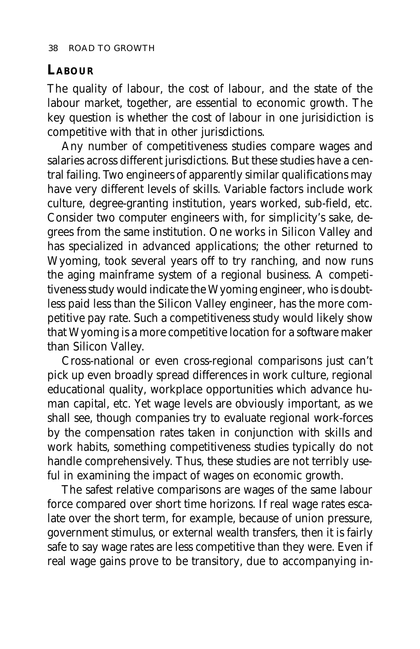#### **LABOUR**

The quality of labour, the cost of labour, and the state of the labour market, together, are essential to economic growth. The key question is whether the cost of labour in one jurisidiction is competitive with that in other jurisdictions.

Any number of competitiveness studies compare wages and salaries across different jurisdictions. But these studies have a central failing. Two engineers of apparently similar qualifications may have very different levels of skills. Variable factors include work culture, degree-granting institution, years worked, sub-field, etc. Consider two computer engineers with, for simplicity's sake, degrees from the same institution. One works in Silicon Valley and has specialized in advanced applications; the other returned to Wyoming, took several years off to try ranching, and now runs the aging mainframe system of a regional business. A competitiveness study would indicate the Wyoming engineer, who is doubtless paid less than the Silicon Valley engineer, has the more competitive pay rate. Such a competitiveness study would likely show that Wyoming is a more competitive location for a software maker than Silicon Valley.

Cross-national or even cross-regional comparisons just can't pick up even broadly spread differences in work culture, regional educational quality, workplace opportunities which advance human capital, etc. Yet wage levels are obviously important, as we shall see, though companies try to evaluate regional work-forces by the compensation rates taken in conjunction with skills and work habits, something competitiveness studies typically do not handle comprehensively. Thus, these studies are not terribly useful in examining the impact of wages on economic growth.

The safest relative comparisons are wages of the same labour force compared over short time horizons. If real wage rates escalate over the short term, for example, because of union pressure, government stimulus, or external wealth transfers, then it is fairly safe to say wage rates are less competitive than they were. Even if real wage gains prove to be transitory, due to accompanying in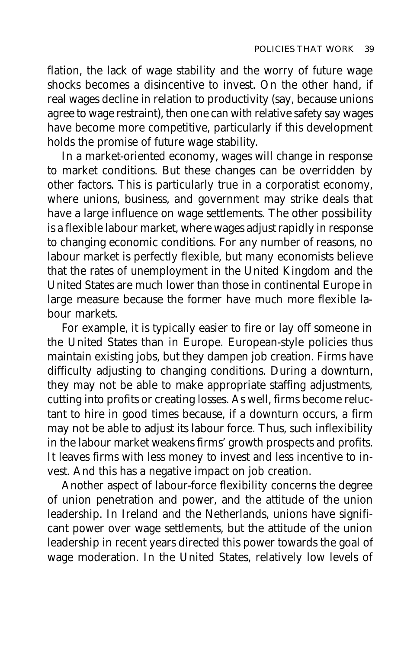flation, the lack of wage stability and the worry of future wage shocks becomes a disincentive to invest. On the other hand, if real wages decline in relation to productivity (say, because unions agree to wage restraint), then one can with relative safety say wages have become more competitive, particularly if this development holds the promise of future wage stability.

In a market-oriented economy, wages will change in response to market conditions. But these changes can be overridden by other factors. This is particularly true in a corporatist economy, where unions, business, and government may strike deals that have a large influence on wage settlements. The other possibility is a flexible labour market, where wages adjust rapidly in response to changing economic conditions. For any number of reasons, no labour market is perfectly flexible, but many economists believe that the rates of unemployment in the United Kingdom and the United States are much lower than those in continental Europe in large measure because the former have much more flexible labour markets.

For example, it is typically easier to fire or lay off someone in the United States than in Europe. European-style policies thus maintain existing jobs, but they dampen job creation. Firms have difficulty adjusting to changing conditions. During a downturn, they may not be able to make appropriate staffing adjustments, cutting into profits or creating losses. As well, firms become reluctant to hire in good times because, if a downturn occurs, a firm may not be able to adjust its labour force. Thus, such inflexibility in the labour market weakens firms' growth prospects and profits. It leaves firms with less money to invest and less incentive to invest. And this has a negative impact on job creation.

Another aspect of labour-force flexibility concerns the degree of union penetration and power, and the attitude of the union leadership. In Ireland and the Netherlands, unions have significant power over wage settlements, but the attitude of the union leadership in recent years directed this power towards the goal of wage moderation. In the United States, relatively low levels of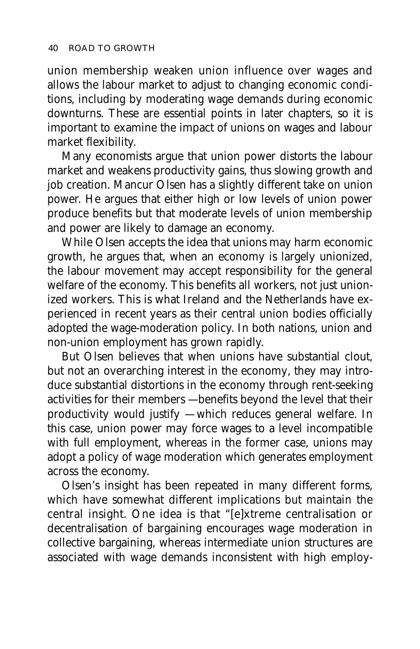union membership weaken union influence over wages and allows the labour market to adjust to changing economic conditions, including by moderating wage demands during economic downturns. These are essential points in later chapters, so it is important to examine the impact of unions on wages and labour market flexibility.

Many economists argue that union power distorts the labour market and weakens productivity gains, thus slowing growth and job creation. Mancur Olsen has a slightly different take on union power. He argues that either high or low levels of union power produce benefits but that moderate levels of union membership and power are likely to damage an economy.

While Olsen accepts the idea that unions may harm economic growth, he argues that, when an economy is largely unionized, the labour movement may accept responsibility for the general welfare of the economy. This benefits all workers, not just unionized workers. This is what Ireland and the Netherlands have experienced in recent years as their central union bodies officially adopted the wage-moderation policy. In both nations, union and non-union employment has grown rapidly.

But Olsen believes that when unions have substantial clout, but not an overarching interest in the economy, they may introduce substantial distortions in the economy through rent-seeking activities for their members — benefits beyond the level that their productivity would justify — which reduces general welfare. In this case, union power may force wages to a level incompatible with full employment, whereas in the former case, unions may adopt a policy of wage moderation which generates employment across the economy.

Olsen's insight has been repeated in many different forms, which have somewhat different implications but maintain the central insight. One idea is that "[e]xtreme centralisation or decentralisation of bargaining encourages wage moderation in collective bargaining, whereas intermediate union structures are associated with wage demands inconsistent with high employ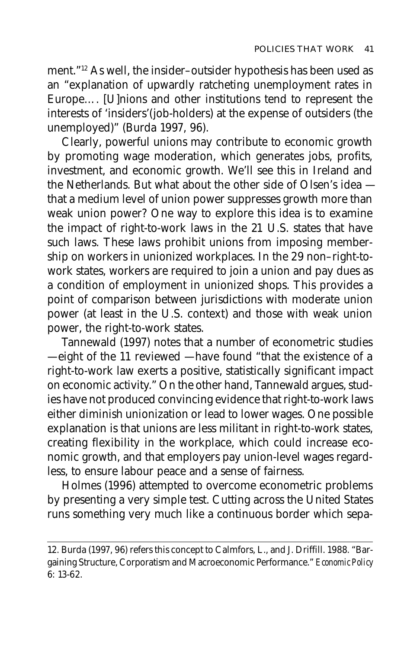ment."12 As well, the insider–outsider hypothesis has been used as an "explanation of upwardly ratcheting unemployment rates in Europe…. [U]nions and other institutions tend to represent the interests of 'insiders'(job-holders) at the expense of outsiders (the unemployed)" (Burda 1997, 96).

Clearly, powerful unions may contribute to economic growth by promoting wage moderation, which generates jobs, profits, investment, and economic growth. We'll see this in Ireland and the Netherlands. But what about the other side of Olsen's idea that a medium level of union power suppresses growth more than weak union power? One way to explore this idea is to examine the impact of right-to-work laws in the 21 U.S. states that have such laws. These laws prohibit unions from imposing membership on workers in unionized workplaces. In the 29 non–right-towork states, workers are required to join a union and pay dues as a condition of employment in unionized shops. This provides a point of comparison between jurisdictions with moderate union power (at least in the U.S. context) and those with weak union power, the right-to-work states.

Tannewald (1997) notes that a number of econometric studies — eight of the 11 reviewed — have found "that the existence of a right-to-work law exerts a positive, statistically significant impact on economic activity." On the other hand, Tannewald argues, studies have not produced convincing evidence that right-to-work laws either diminish unionization or lead to lower wages. One possible explanation is that unions are less militant in right-to-work states, creating flexibility in the workplace, which could increase economic growth, and that employers pay union-level wages regardless, to ensure labour peace and a sense of fairness.

Holmes (1996) attempted to overcome econometric problems by presenting a very simple test. Cutting across the United States runs something very much like a continuous border which sepa-

<sup>12.</sup> Burda (1997, 96) refers this concept to Calmfors, L., and J. Driffill. 1988. "Bargaining Structure, Corporatism and Macroeconomic Performance." *Economic Policy* 6: 13-62.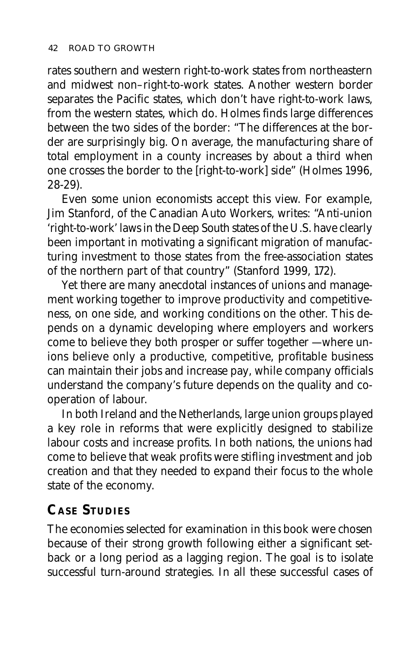rates southern and western right-to-work states from northeastern and midwest non–right-to-work states. Another western border separates the Pacific states, which don't have right-to-work laws, from the western states, which do. Holmes finds large differences between the two sides of the border: "The differences at the border are surprisingly big. On average, the manufacturing share of total employment in a county increases by about a third when one crosses the border to the [right-to-work] side" (Holmes 1996, 28-29).

Even some union economists accept this view. For example, Jim Stanford, of the Canadian Auto Workers, writes: "Anti-union 'right-to-work' laws in the Deep South states of the U.S. have clearly been important in motivating a significant migration of manufacturing investment to those states from the free-association states of the northern part of that country" (Stanford 1999, 172).

Yet there are many anecdotal instances of unions and management working together to improve productivity and competitiveness, on one side, and working conditions on the other. This depends on a dynamic developing where employers and workers come to believe they both prosper or suffer together — where unions believe only a productive, competitive, profitable business can maintain their jobs and increase pay, while company officials understand the company's future depends on the quality and cooperation of labour.

In both Ireland and the Netherlands, large union groups played a key role in reforms that were explicitly designed to stabilize labour costs and increase profits. In both nations, the unions had come to believe that weak profits were stifling investment and job creation and that they needed to expand their focus to the whole state of the economy.

# **CASE STUDIES**

The economies selected for examination in this book were chosen because of their strong growth following either a significant setback or a long period as a lagging region. The goal is to isolate successful turn-around strategies. In all these successful cases of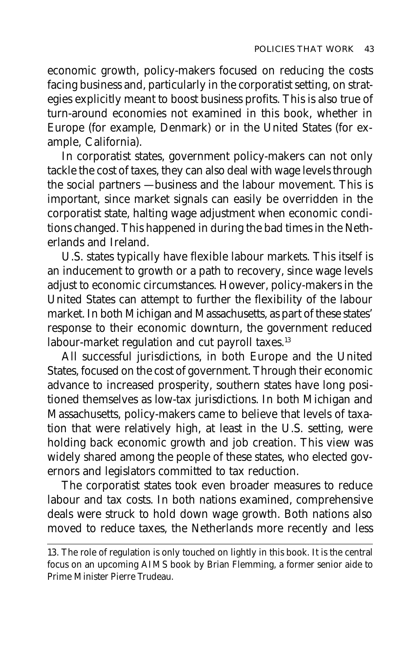economic growth, policy-makers focused on reducing the costs facing business and, particularly in the corporatist setting, on strategies explicitly meant to boost business profits. This is also true of turn-around economies not examined in this book, whether in Europe (for example, Denmark) or in the United States (for example, California).

In corporatist states, government policy-makers can not only tackle the cost of taxes, they can also deal with wage levels through the social partners — business and the labour movement. This is important, since market signals can easily be overridden in the corporatist state, halting wage adjustment when economic conditions changed. This happened in during the bad times in the Netherlands and Ireland.

U.S. states typically have flexible labour markets. This itself is an inducement to growth or a path to recovery, since wage levels adjust to economic circumstances. However, policy-makers in the United States can attempt to further the flexibility of the labour market. In both Michigan and Massachusetts, as part of these states' response to their economic downturn, the government reduced labour-market regulation and cut payroll taxes.<sup>13</sup>

All successful jurisdictions, in both Europe and the United States, focused on the cost of government. Through their economic advance to increased prosperity, southern states have long positioned themselves as low-tax jurisdictions. In both Michigan and Massachusetts, policy-makers came to believe that levels of taxation that were relatively high, at least in the U.S. setting, were holding back economic growth and job creation. This view was widely shared among the people of these states, who elected governors and legislators committed to tax reduction.

The corporatist states took even broader measures to reduce labour and tax costs. In both nations examined, comprehensive deals were struck to hold down wage growth. Both nations also moved to reduce taxes, the Netherlands more recently and less

<sup>13.</sup> The role of regulation is only touched on lightly in this book. It is the central focus on an upcoming AIMS book by Brian Flemming, a former senior aide to Prime Minister Pierre Trudeau.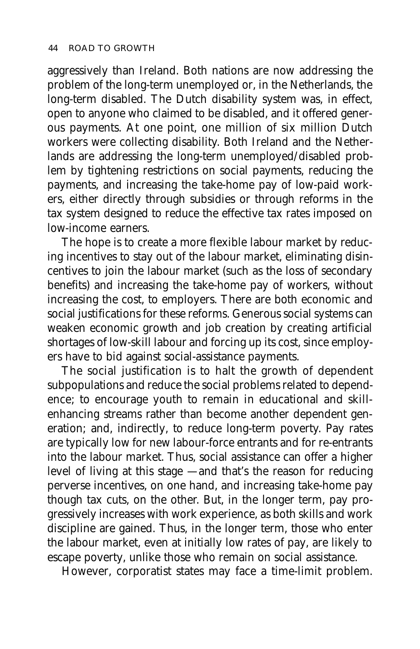aggressively than Ireland. Both nations are now addressing the problem of the long-term unemployed or, in the Netherlands, the long-term disabled. The Dutch disability system was, in effect, open to anyone who claimed to be disabled, and it offered generous payments. At one point, one million of six million Dutch workers were collecting disability. Both Ireland and the Netherlands are addressing the long-term unemployed/disabled problem by tightening restrictions on social payments, reducing the payments, and increasing the take-home pay of low-paid workers, either directly through subsidies or through reforms in the tax system designed to reduce the effective tax rates imposed on low-income earners.

The hope is to create a more flexible labour market by reducing incentives to stay out of the labour market, eliminating disincentives to join the labour market (such as the loss of secondary benefits) and increasing the take-home pay of workers, without increasing the cost, to employers. There are both economic and social justifications for these reforms. Generous social systems can weaken economic growth and job creation by creating artificial shortages of low-skill labour and forcing up its cost, since employers have to bid against social-assistance payments.

The social justification is to halt the growth of dependent subpopulations and reduce the social problems related to dependence; to encourage youth to remain in educational and skillenhancing streams rather than become another dependent generation; and, indirectly, to reduce long-term poverty. Pay rates are typically low for new labour-force entrants and for re-entrants into the labour market. Thus, social assistance can offer a higher level of living at this stage — and that's the reason for reducing perverse incentives, on one hand, and increasing take-home pay though tax cuts, on the other. But, in the longer term, pay progressively increases with work experience, as both skills and work discipline are gained. Thus, in the longer term, those who enter the labour market, even at initially low rates of pay, are likely to escape poverty, unlike those who remain on social assistance.

However, corporatist states may face a time-limit problem.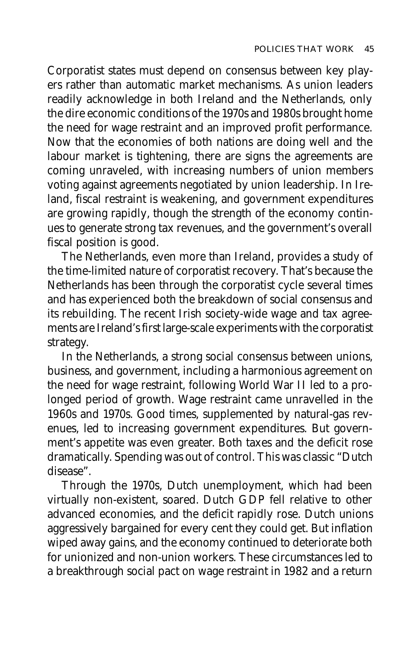Corporatist states must depend on consensus between key players rather than automatic market mechanisms. As union leaders readily acknowledge in both Ireland and the Netherlands, only the dire economic conditions of the 1970s and 1980s brought home the need for wage restraint and an improved profit performance. Now that the economies of both nations are doing well and the labour market is tightening, there are signs the agreements are coming unraveled, with increasing numbers of union members voting against agreements negotiated by union leadership. In Ireland, fiscal restraint is weakening, and government expenditures are growing rapidly, though the strength of the economy continues to generate strong tax revenues, and the government's overall fiscal position is good.

The Netherlands, even more than Ireland, provides a study of the time-limited nature of corporatist recovery. That's because the Netherlands has been through the corporatist cycle several times and has experienced both the breakdown of social consensus and its rebuilding. The recent Irish society-wide wage and tax agreements are Ireland's first large-scale experiments with the corporatist strategy.

In the Netherlands, a strong social consensus between unions, business, and government, including a harmonious agreement on the need for wage restraint, following World War II led to a prolonged period of growth. Wage restraint came unravelled in the 1960s and 1970s. Good times, supplemented by natural-gas revenues, led to increasing government expenditures. But government's appetite was even greater. Both taxes and the deficit rose dramatically. Spending was out of control. This was classic "Dutch disease".

Through the 1970s, Dutch unemployment, which had been virtually non-existent, soared. Dutch GDP fell relative to other advanced economies, and the deficit rapidly rose. Dutch unions aggressively bargained for every cent they could get. But inflation wiped away gains, and the economy continued to deteriorate both for unionized and non-union workers. These circumstances led to a breakthrough social pact on wage restraint in 1982 and a return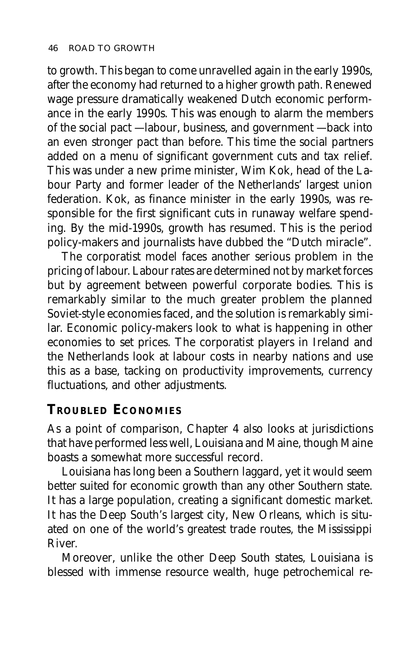to growth. This began to come unravelled again in the early 1990s, after the economy had returned to a higher growth path. Renewed wage pressure dramatically weakened Dutch economic performance in the early 1990s. This was enough to alarm the members of the social pact — labour, business, and government — back into an even stronger pact than before. This time the social partners added on a menu of significant government cuts and tax relief. This was under a new prime minister, Wim Kok, head of the Labour Party and former leader of the Netherlands' largest union federation. Kok, as finance minister in the early 1990s, was responsible for the first significant cuts in runaway welfare spending. By the mid-1990s, growth has resumed. This is the period policy-makers and journalists have dubbed the "Dutch miracle".

The corporatist model faces another serious problem in the pricing of labour. Labour rates are determined not by market forces but by agreement between powerful corporate bodies. This is remarkably similar to the much greater problem the planned Soviet-style economies faced, and the solution is remarkably similar. Economic policy-makers look to what is happening in other economies to set prices. The corporatist players in Ireland and the Netherlands look at labour costs in nearby nations and use this as a base, tacking on productivity improvements, currency fluctuations, and other adjustments.

#### **TROUBLED ECONOMIES**

As a point of comparison, Chapter 4 also looks at jurisdictions that have performed less well, Louisiana and Maine, though Maine boasts a somewhat more successful record.

Louisiana has long been a Southern laggard, yet it would seem better suited for economic growth than any other Southern state. It has a large population, creating a significant domestic market. It has the Deep South's largest city, New Orleans, which is situated on one of the world's greatest trade routes, the Mississippi River.

Moreover, unlike the other Deep South states, Louisiana is blessed with immense resource wealth, huge petrochemical re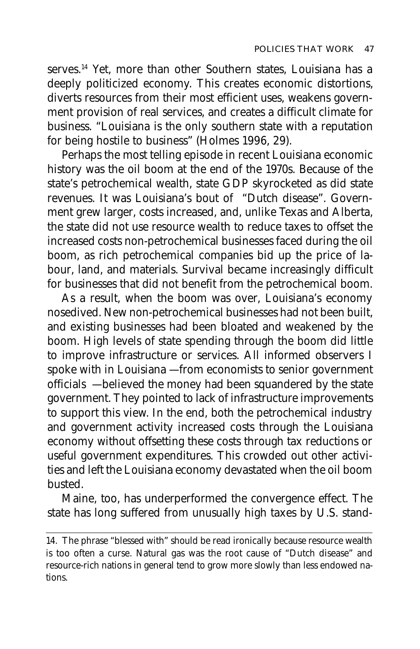serves.<sup>14</sup> Yet, more than other Southern states, Louisiana has a deeply politicized economy. This creates economic distortions, diverts resources from their most efficient uses, weakens government provision of real services, and creates a difficult climate for business. "Louisiana is the only southern state with a reputation for being hostile to business" (Holmes 1996, 29).

Perhaps the most telling episode in recent Louisiana economic history was the oil boom at the end of the 1970s. Because of the state's petrochemical wealth, state GDP skyrocketed as did state revenues. It was Louisiana's bout of "Dutch disease". Government grew larger, costs increased, and, unlike Texas and Alberta, the state did not use resource wealth to reduce taxes to offset the increased costs non-petrochemical businesses faced during the oil boom, as rich petrochemical companies bid up the price of labour, land, and materials. Survival became increasingly difficult for businesses that did not benefit from the petrochemical boom.

As a result, when the boom was over, Louisiana's economy nosedived. New non-petrochemical businesses had not been built, and existing businesses had been bloated and weakened by the boom. High levels of state spending through the boom did little to improve infrastructure or services. All informed observers I spoke with in Louisiana — from economists to senior government officials — believed the money had been squandered by the state government. They pointed to lack of infrastructure improvements to support this view. In the end, both the petrochemical industry and government activity increased costs through the Louisiana economy without offsetting these costs through tax reductions or useful government expenditures. This crowded out other activities and left the Louisiana economy devastated when the oil boom busted.

Maine, too, has underperformed the convergence effect. The state has long suffered from unusually high taxes by U.S. stand-

<sup>14.</sup> The phrase "blessed with" should be read ironically because resource wealth is too often a curse. Natural gas was the root cause of "Dutch disease" and resource-rich nations in general tend to grow more slowly than less endowed nations.